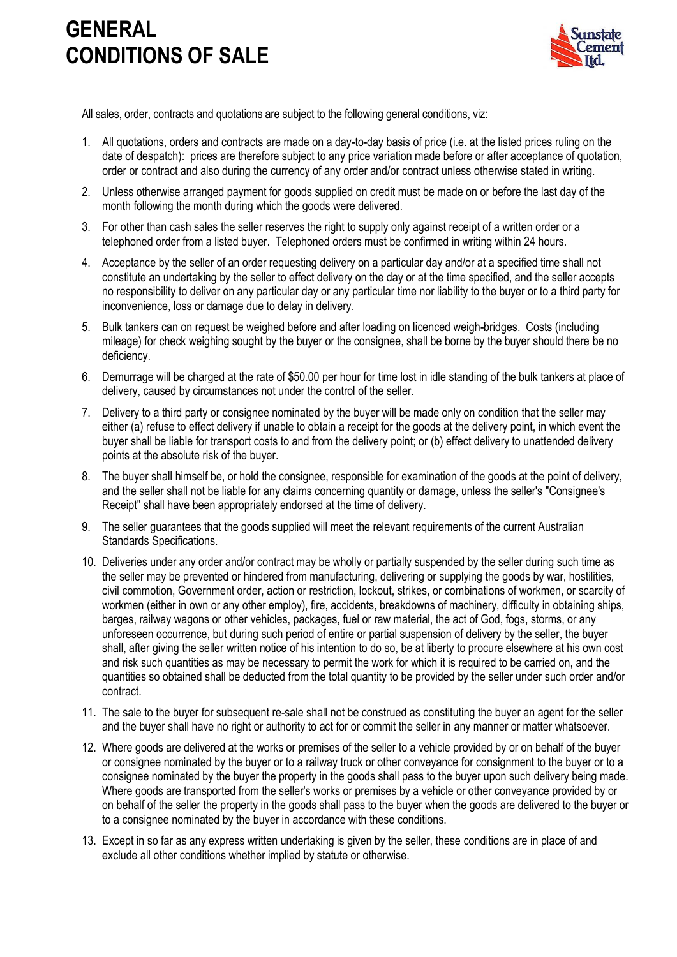## **GENERAL CONDITIONS OF SALE**



All sales, order, contracts and quotations are subject to the following general conditions, viz:

- 1. All quotations, orders and contracts are made on a day-to-day basis of price (i.e. at the listed prices ruling on the date of despatch): prices are therefore subject to any price variation made before or after acceptance of quotation, order or contract and also during the currency of any order and/or contract unless otherwise stated in writing.
- 2. Unless otherwise arranged payment for goods supplied on credit must be made on or before the last day of the month following the month during which the goods were delivered.
- 3. For other than cash sales the seller reserves the right to supply only against receipt of a written order or a telephoned order from a listed buyer. Telephoned orders must be confirmed in writing within 24 hours.
- 4. Acceptance by the seller of an order requesting delivery on a particular day and/or at a specified time shall not constitute an undertaking by the seller to effect delivery on the day or at the time specified, and the seller accepts no responsibility to deliver on any particular day or any particular time nor liability to the buyer or to a third party for inconvenience, loss or damage due to delay in delivery.
- 5. Bulk tankers can on request be weighed before and after loading on licenced weigh-bridges. Costs (including mileage) for check weighing sought by the buyer or the consignee, shall be borne by the buyer should there be no deficiency.
- 6. Demurrage will be charged at the rate of \$50.00 per hour for time lost in idle standing of the bulk tankers at place of delivery, caused by circumstances not under the control of the seller.
- 7. Delivery to a third party or consignee nominated by the buyer will be made only on condition that the seller may either (a) refuse to effect delivery if unable to obtain a receipt for the goods at the delivery point, in which event the buyer shall be liable for transport costs to and from the delivery point; or (b) effect delivery to unattended delivery points at the absolute risk of the buyer.
- 8. The buyer shall himself be, or hold the consignee, responsible for examination of the goods at the point of delivery, and the seller shall not be liable for any claims concerning quantity or damage, unless the seller's "Consignee's Receipt" shall have been appropriately endorsed at the time of delivery.
- 9. The seller guarantees that the goods supplied will meet the relevant requirements of the current Australian Standards Specifications.
- 10. Deliveries under any order and/or contract may be wholly or partially suspended by the seller during such time as the seller may be prevented or hindered from manufacturing, delivering or supplying the goods by war, hostilities, civil commotion, Government order, action or restriction, lockout, strikes, or combinations of workmen, or scarcity of workmen (either in own or any other employ), fire, accidents, breakdowns of machinery, difficulty in obtaining ships, barges, railway wagons or other vehicles, packages, fuel or raw material, the act of God, fogs, storms, or any unforeseen occurrence, but during such period of entire or partial suspension of delivery by the seller, the buyer shall, after giving the seller written notice of his intention to do so, be at liberty to procure elsewhere at his own cost and risk such quantities as may be necessary to permit the work for which it is required to be carried on, and the quantities so obtained shall be deducted from the total quantity to be provided by the seller under such order and/or contract.
- 11. The sale to the buyer for subsequent re-sale shall not be construed as constituting the buyer an agent for the seller and the buyer shall have no right or authority to act for or commit the seller in any manner or matter whatsoever.
- 12. Where goods are delivered at the works or premises of the seller to a vehicle provided by or on behalf of the buyer or consignee nominated by the buyer or to a railway truck or other conveyance for consignment to the buyer or to a consignee nominated by the buyer the property in the goods shall pass to the buyer upon such delivery being made. Where goods are transported from the seller's works or premises by a vehicle or other conveyance provided by or on behalf of the seller the property in the goods shall pass to the buyer when the goods are delivered to the buyer or to a consignee nominated by the buyer in accordance with these conditions.
- 13. Except in so far as any express written undertaking is given by the seller, these conditions are in place of and exclude all other conditions whether implied by statute or otherwise.